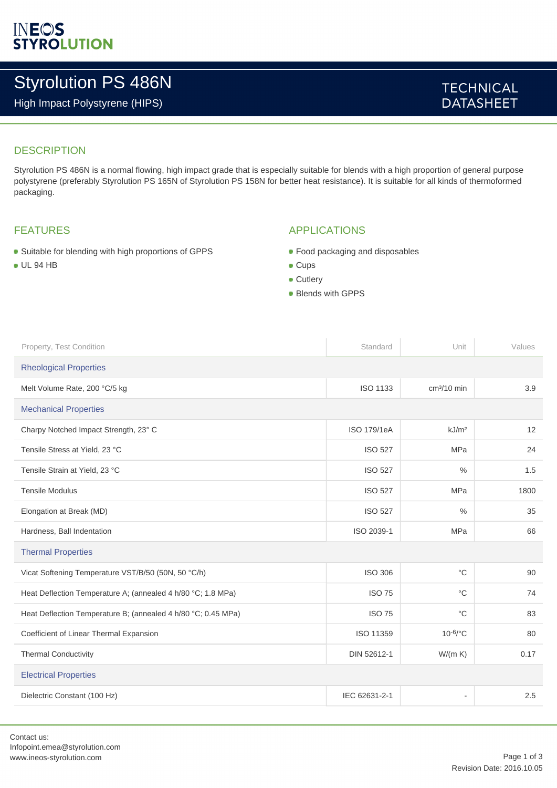# Styrolution PS 486N

High Impact Polystyrene (HIPS)

## **TECHNICAL DATASHEET**

## **DESCRIPTION**

Styrolution PS 486N is a normal flowing, high impact grade that is especially suitable for blends with a high proportion of general purpose polystyrene (preferably Styrolution PS 165N of Styrolution PS 158N for better heat resistance). It is suitable for all kinds of thermoformed packaging.

#### FEATURES

- Suitable for blending with high proportions of GPPS
- UL 94 HB

#### APPLICATIONS

- Food packaging and disposables
- Cups
- **Cutlery**
- Blends with GPPS

| Property, Test Condition                                      | Standard           | Unit                     | Values |  |
|---------------------------------------------------------------|--------------------|--------------------------|--------|--|
| <b>Rheological Properties</b>                                 |                    |                          |        |  |
| Melt Volume Rate, 200 °C/5 kg                                 | <b>ISO 1133</b>    | $cm3/10$ min             | 3.9    |  |
| <b>Mechanical Properties</b>                                  |                    |                          |        |  |
| Charpy Notched Impact Strength, 23° C                         | <b>ISO 179/1eA</b> | kJ/m <sup>2</sup>        | 12     |  |
| Tensile Stress at Yield, 23 °C                                | <b>ISO 527</b>     | MPa                      | 24     |  |
| Tensile Strain at Yield, 23 °C                                | <b>ISO 527</b>     | $\frac{0}{0}$            | 1.5    |  |
| <b>Tensile Modulus</b>                                        | <b>ISO 527</b>     | MPa                      | 1800   |  |
| Elongation at Break (MD)                                      | <b>ISO 527</b>     | $\frac{0}{0}$            | 35     |  |
| Hardness, Ball Indentation                                    | ISO 2039-1         | <b>MPa</b>               | 66     |  |
| <b>Thermal Properties</b>                                     |                    |                          |        |  |
| Vicat Softening Temperature VST/B/50 (50N, 50 °C/h)           | <b>ISO 306</b>     | $^{\circ}C$              | 90     |  |
| Heat Deflection Temperature A; (annealed 4 h/80 °C; 1.8 MPa)  | <b>ISO 75</b>      | $^{\circ}C$              | 74     |  |
| Heat Deflection Temperature B; (annealed 4 h/80 °C; 0.45 MPa) | <b>ISO 75</b>      | $^{\circ}C$              | 83     |  |
| Coefficient of Linear Thermal Expansion                       | ISO 11359          | $10^{-6}$ /°C            | 80     |  |
| <b>Thermal Conductivity</b>                                   | DIN 52612-1        | W/(m K)                  | 0.17   |  |
| <b>Electrical Properties</b>                                  |                    |                          |        |  |
| Dielectric Constant (100 Hz)                                  | IEC 62631-2-1      | $\overline{\phantom{a}}$ | 2.5    |  |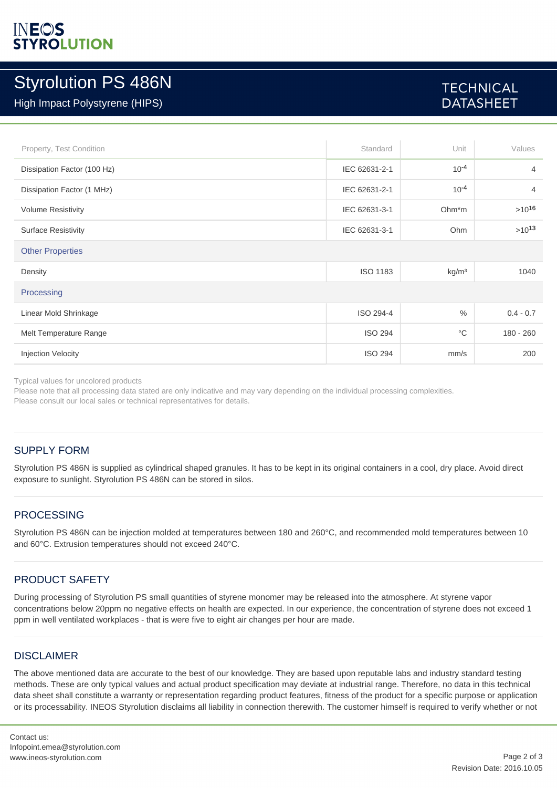## INEOS *YROLUTION*

## Styrolution PS 486N

High Impact Polystyrene (HIPS)

## **TECHNICAL DATASHEET**

| Property, Test Condition    | Standard        | Unit               | Values         |  |
|-----------------------------|-----------------|--------------------|----------------|--|
| Dissipation Factor (100 Hz) | IEC 62631-2-1   | $10^{-4}$          | 4              |  |
| Dissipation Factor (1 MHz)  | IEC 62631-2-1   | $10^{-4}$          | $\overline{4}$ |  |
| <b>Volume Resistivity</b>   | IEC 62631-3-1   | Ohm <sup>*</sup> m | $>10^{16}$     |  |
| <b>Surface Resistivity</b>  | IEC 62631-3-1   | Ohm                | $>10^{13}$     |  |
| <b>Other Properties</b>     |                 |                    |                |  |
| Density                     | <b>ISO 1183</b> | kg/m <sup>3</sup>  | 1040           |  |
| Processing                  |                 |                    |                |  |
| Linear Mold Shrinkage       | ISO 294-4       | $\%$               | $0.4 - 0.7$    |  |
| Melt Temperature Range      | <b>ISO 294</b>  | $^{\circ}$ C       | $180 - 260$    |  |
| <b>Injection Velocity</b>   | <b>ISO 294</b>  | mm/s               | 200            |  |

Typical values for uncolored products

Please note that all processing data stated are only indicative and may vary depending on the individual processing complexities. Please consult our local sales or technical representatives for details.

## SUPPLY FORM

Styrolution PS 486N is supplied as cylindrical shaped granules. It has to be kept in its original containers in a cool, dry place. Avoid direct exposure to sunlight. Styrolution PS 486N can be stored in silos.

## PROCESSING

Styrolution PS 486N can be injection molded at temperatures between 180 and 260°C, and recommended mold temperatures between 10 and 60°C. Extrusion temperatures should not exceed 240°C.

## PRODUCT SAFETY

During processing of Styrolution PS small quantities of styrene monomer may be released into the atmosphere. At styrene vapor concentrations below 20ppm no negative effects on health are expected. In our experience, the concentration of styrene does not exceed 1 ppm in well ventilated workplaces - that is were five to eight air changes per hour are made.

#### **DISCLAIMER**

The above mentioned data are accurate to the best of our knowledge. They are based upon reputable labs and industry standard testing methods. These are only typical values and actual product specification may deviate at industrial range. Therefore, no data in this technical data sheet shall constitute a warranty or representation regarding product features, fitness of the product for a specific purpose or application or its processability. INEOS Styrolution disclaims all liability in connection therewith. The customer himself is required to verify whether or not